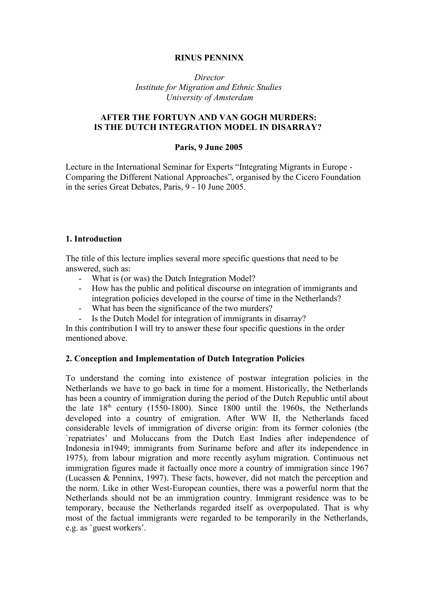# **RINUS PENNINX**

 *Director Institute for Migration and Ethnic Studies University of Amsterdam*

# **AFTER THE FORTUYN AND VAN GOGH MURDERS: IS THE DUTCH INTEGRATION MODEL IN DISARRAY?**

### **Paris, 9 June 2005**

Lecture in the International Seminar for Experts "Integrating Migrants in Europe - Comparing the Different National Approaches", organised by the Cicero Foundation in the series Great Debates, Paris, 9 - 10 June 2005.

## **1. Introduction**

The title of this lecture implies several more specific questions that need to be answered, such as:

- What is (or was) the Dutch Integration Model?
- How has the public and political discourse on integration of immigrants and integration policies developed in the course of time in the Netherlands?
- What has been the significance of the two murders?
- Is the Dutch Model for integration of immigrants in disarray?

In this contribution I will try to answer these four specific questions in the order mentioned above.

## **2. Conception and Implementation of Dutch Integration Policies**

To understand the coming into existence of postwar integration policies in the Netherlands we have to go back in time for a moment. Historically, the Netherlands has been a country of immigration during the period of the Dutch Republic until about the late  $18<sup>th</sup>$  century (1550-1800). Since 1800 until the 1960s, the Netherlands developed into a country of emigration. After WW II, the Netherlands faced considerable levels of immigration of diverse origin: from its former colonies (the `repatriates' and Moluccans from the Dutch East Indies after independence of Indonesia in1949; immigrants from Suriname before and after its independence in 1975), from labour migration and more recently asylum migration. Continuous net immigration figures made it factually once more a country of immigration since 1967 (Lucassen & Penninx, 1997). These facts, however, did not match the perception and the norm. Like in other West-European counties, there was a powerful norm that the Netherlands should not be an immigration country. Immigrant residence was to be temporary, because the Netherlands regarded itself as overpopulated. That is why most of the factual immigrants were regarded to be temporarily in the Netherlands, e.g. as `guest workers'.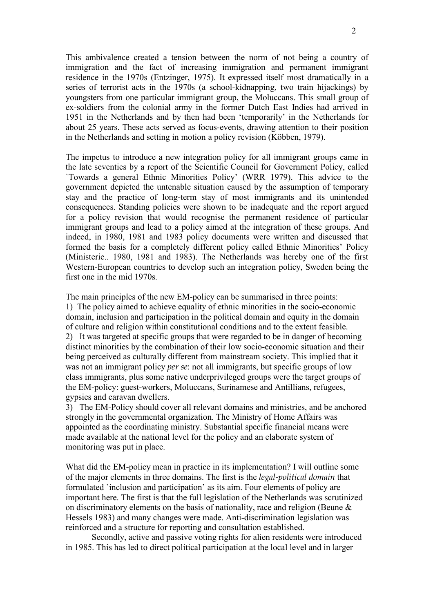This ambivalence created a tension between the norm of not being a country of immigration and the fact of increasing immigration and permanent immigrant residence in the 1970s (Entzinger, 1975). It expressed itself most dramatically in a series of terrorist acts in the 1970s (a school-kidnapping, two train hijackings) by youngsters from one particular immigrant group, the Moluccans. This small group of ex-soldiers from the colonial army in the former Dutch East Indies had arrived in 1951 in the Netherlands and by then had been 'temporarily' in the Netherlands for about 25 years. These acts served as focus-events, drawing attention to their position in the Netherlands and setting in motion a policy revision (Köbben, 1979).

The impetus to introduce a new integration policy for all immigrant groups came in the late seventies by a report of the Scientific Council for Government Policy, called `Towards a general Ethnic Minorities Policy' (WRR 1979). This advice to the government depicted the untenable situation caused by the assumption of temporary stay and the practice of long-term stay of most immigrants and its unintended consequences. Standing policies were shown to be inadequate and the report argued for a policy revision that would recognise the permanent residence of particular immigrant groups and lead to a policy aimed at the integration of these groups. And indeed, in 1980, 1981 and 1983 policy documents were written and discussed that formed the basis for a completely different policy called Ethnic Minorities' Policy (Ministerie.. 1980, 1981 and 1983). The Netherlands was hereby one of the first Western-European countries to develop such an integration policy, Sweden being the first one in the mid 1970s.

The main principles of the new EM-policy can be summarised in three points: 1) The policy aimed to achieve equality of ethnic minorities in the socio-economic domain, inclusion and participation in the political domain and equity in the domain of culture and religion within constitutional conditions and to the extent feasible. 2) It was targeted at specific groups that were regarded to be in danger of becoming distinct minorities by the combination of their low socio-economic situation and their being perceived as culturally different from mainstream society. This implied that it was not an immigrant policy *per se*: not all immigrants, but specific groups of low class immigrants, plus some native underprivileged groups were the target groups of the EM-policy: guest-workers, Moluccans, Surinamese and Antillians, refugees, gypsies and caravan dwellers.

3) The EM-Policy should cover all relevant domains and ministries, and be anchored strongly in the governmental organization. The Ministry of Home Affairs was appointed as the coordinating ministry. Substantial specific financial means were made available at the national level for the policy and an elaborate system of monitoring was put in place.

What did the EM-policy mean in practice in its implementation? I will outline some of the major elements in three domains. The first is the *legal-political domain* that formulated `inclusion and participation' as its aim. Four elements of policy are important here. The first is that the full legislation of the Netherlands was scrutinized on discriminatory elements on the basis of nationality, race and religion (Beune & Hessels 1983) and many changes were made. Anti-discrimination legislation was reinforced and a structure for reporting and consultation established.

Secondly, active and passive voting rights for alien residents were introduced in 1985. This has led to direct political participation at the local level and in larger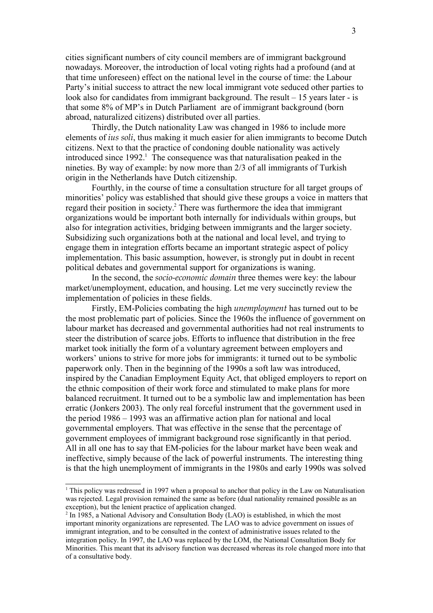cities significant numbers of city council members are of immigrant background nowadays. Moreover, the introduction of local voting rights had a profound (and at that time unforeseen) effect on the national level in the course of time: the Labour Party's initial success to attract the new local immigrant vote seduced other parties to look also for candidates from immigrant background. The result – 15 years later - is that some 8% of MP's in Dutch Parliament are of immigrant background (born abroad, naturalized citizens) distributed over all parties.

Thirdly, the Dutch nationality Law was changed in 1986 to include more elements of *ius soli*, thus making it much easier for alien immigrants to become Dutch citizens. Next to that the practice of condoning double nationality was actively introduced since  $1992<sup>1</sup>$ . The consequence was that naturalisation peaked in the nineties. By way of example: by now more than 2/3 of all immigrants of Turkish origin in the Netherlands have Dutch citizenship.

Fourthly, in the course of time a consultation structure for all target groups of minorities' policy was established that should give these groups a voice in matters that regard their position in society. 2 There was furthermore the idea that immigrant organizations would be important both internally for individuals within groups, but also for integration activities, bridging between immigrants and the larger society. Subsidizing such organizations both at the national and local level, and trying to engage them in integration efforts became an important strategic aspect of policy implementation. This basic assumption, however, is strongly put in doubt in recent political debates and governmental support for organizations is waning.

In the second, the *socio-economic domain* three themes were key: the labour market/unemployment, education, and housing. Let me very succinctly review the implementation of policies in these fields.

Firstly, EM-Policies combating the high *unemployment* has turned out to be the most problematic part of policies. Since the 1960s the influence of government on labour market has decreased and governmental authorities had not real instruments to steer the distribution of scarce jobs. Efforts to influence that distribution in the free market took initially the form of a voluntary agreement between employers and workers' unions to strive for more jobs for immigrants: it turned out to be symbolic paperwork only. Then in the beginning of the 1990s a soft law was introduced, inspired by the Canadian Employment Equity Act, that obliged employers to report on the ethnic composition of their work force and stimulated to make plans for more balanced recruitment. It turned out to be a symbolic law and implementation has been erratic (Jonkers 2003). The only real forceful instrument that the government used in the period 1986 – 1993 was an affirmative action plan for national and local governmental employers. That was effective in the sense that the percentage of government employees of immigrant background rose significantly in that period. All in all one has to say that EM-policies for the labour market have been weak and ineffective, simply because of the lack of powerful instruments. The interesting thing is that the high unemployment of immigrants in the 1980s and early 1990s was solved

<sup>&</sup>lt;sup>1</sup> This policy was redressed in 1997 when a proposal to anchor that policy in the Law on Naturalisation was rejected. Legal provision remained the same as before (dual nationality remained possible as an exception), but the lenient practice of application changed.

<sup>&</sup>lt;sup>2</sup> In 1985, a National Advisory and Consultation Body (LAO) is established, in which the most important minority organizations are represented. The LAO was to advice government on issues of immigrant integration, and to be consulted in the context of administrative issues related to the integration policy. In 1997, the LAO was replaced by the LOM, the National Consultation Body for Minorities. This meant that its advisory function was decreased whereas its role changed more into that of a consultative body.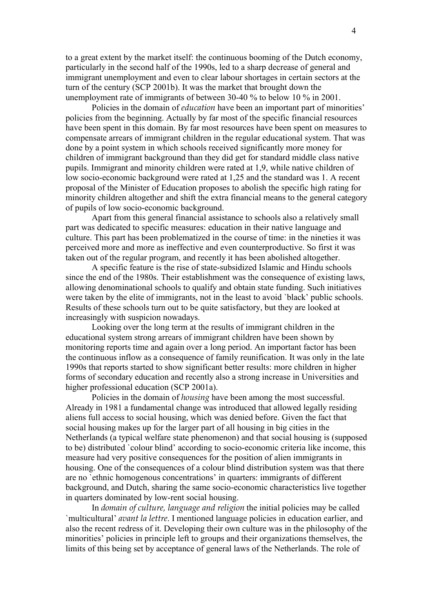to a great extent by the market itself: the continuous booming of the Dutch economy, particularly in the second half of the 1990s, led to a sharp decrease of general and immigrant unemployment and even to clear labour shortages in certain sectors at the turn of the century (SCP 2001b). It was the market that brought down the unemployment rate of immigrants of between 30-40 % to below 10 % in 2001.

Policies in the domain of *education* have been an important part of minorities' policies from the beginning. Actually by far most of the specific financial resources have been spent in this domain. By far most resources have been spent on measures to compensate arrears of immigrant children in the regular educational system. That was done by a point system in which schools received significantly more money for children of immigrant background than they did get for standard middle class native pupils. Immigrant and minority children were rated at 1,9, while native children of low socio-economic background were rated at 1,25 and the standard was 1. A recent proposal of the Minister of Education proposes to abolish the specific high rating for minority children altogether and shift the extra financial means to the general category of pupils of low socio-economic background.

Apart from this general financial assistance to schools also a relatively small part was dedicated to specific measures: education in their native language and culture. This part has been problematized in the course of time: in the nineties it was perceived more and more as ineffective and even counterproductive. So first it was taken out of the regular program, and recently it has been abolished altogether.

A specific feature is the rise of state-subsidized Islamic and Hindu schools since the end of the 1980s. Their establishment was the consequence of existing laws, allowing denominational schools to qualify and obtain state funding. Such initiatives were taken by the elite of immigrants, not in the least to avoid `black' public schools. Results of these schools turn out to be quite satisfactory, but they are looked at increasingly with suspicion nowadays.

Looking over the long term at the results of immigrant children in the educational system strong arrears of immigrant children have been shown by monitoring reports time and again over a long period. An important factor has been the continuous inflow as a consequence of family reunification. It was only in the late 1990s that reports started to show significant better results: more children in higher forms of secondary education and recently also a strong increase in Universities and higher professional education (SCP 2001a).

Policies in the domain of *housing* have been among the most successful. Already in 1981 a fundamental change was introduced that allowed legally residing aliens full access to social housing, which was denied before. Given the fact that social housing makes up for the larger part of all housing in big cities in the Netherlands (a typical welfare state phenomenon) and that social housing is (supposed to be) distributed `colour blind' according to socio-economic criteria like income, this measure had very positive consequences for the position of alien immigrants in housing. One of the consequences of a colour blind distribution system was that there are no `ethnic homogenous concentrations' in quarters: immigrants of different background, and Dutch, sharing the same socio-economic characteristics live together in quarters dominated by low-rent social housing.

In *domain of culture, language and religion* the initial policies may be called `multicultural' *avant la lettre*. I mentioned language policies in education earlier, and also the recent redress of it. Developing their own culture was in the philosophy of the minorities' policies in principle left to groups and their organizations themselves, the limits of this being set by acceptance of general laws of the Netherlands. The role of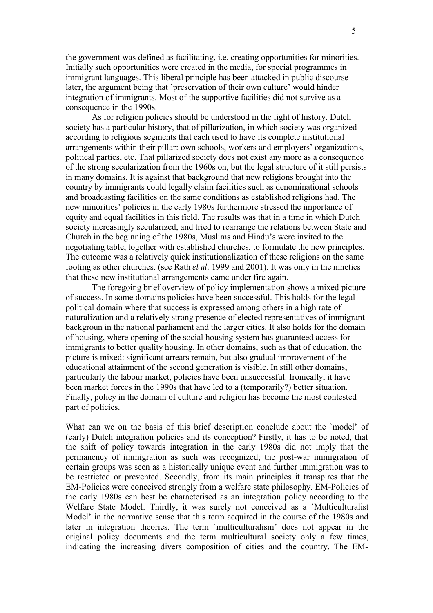the government was defined as facilitating, i.e. creating opportunities for minorities. Initially such opportunities were created in the media, for special programmes in immigrant languages. This liberal principle has been attacked in public discourse later, the argument being that `preservation of their own culture' would hinder integration of immigrants. Most of the supportive facilities did not survive as a consequence in the 1990s.

As for religion policies should be understood in the light of history. Dutch society has a particular history, that of pillarization, in which society was organized according to religious segments that each used to have its complete institutional arrangements within their pillar: own schools, workers and employers' organizations, political parties, etc. That pillarized society does not exist any more as a consequence of the strong secularization from the 1960s on, but the legal structure of it still persists in many domains. It is against that background that new religions brought into the country by immigrants could legally claim facilities such as denominational schools and broadcasting facilities on the same conditions as established religions had. The new minorities' policies in the early 1980s furthermore stressed the importance of equity and equal facilities in this field. The results was that in a time in which Dutch society increasingly secularized, and tried to rearrange the relations between State and Church in the beginning of the 1980s, Muslims and Hindu's were invited to the negotiating table, together with established churches, to formulate the new principles. The outcome was a relatively quick institutionalization of these religions on the same footing as other churches. (see Rath *et al.* 1999 and 2001). It was only in the nineties that these new institutional arrangements came under fire again.

The foregoing brief overview of policy implementation shows a mixed picture of success. In some domains policies have been successful. This holds for the legalpolitical domain where that success is expressed among others in a high rate of naturalization and a relatively strong presence of elected representatives of immigrant backgroun in the national parliament and the larger cities. It also holds for the domain of housing, where opening of the social housing system has guaranteed access for immigrants to better quality housing. In other domains, such as that of education, the picture is mixed: significant arrears remain, but also gradual improvement of the educational attainment of the second generation is visible. In still other domains, particularly the labour market, policies have been unsuccessful. Ironically, it have been market forces in the 1990s that have led to a (temporarily?) better situation. Finally, policy in the domain of culture and religion has become the most contested part of policies.

What can we on the basis of this brief description conclude about the `model' of (early) Dutch integration policies and its conception? Firstly, it has to be noted, that the shift of policy towards integration in the early 1980s did not imply that the permanency of immigration as such was recognized; the post-war immigration of certain groups was seen as a historically unique event and further immigration was to be restricted or prevented. Secondly, from its main principles it transpires that the EM-Policies were conceived strongly from a welfare state philosophy. EM-Policies of the early 1980s can best be characterised as an integration policy according to the Welfare State Model. Thirdly, it was surely not conceived as a `Multiculturalist Model' in the normative sense that this term acquired in the course of the 1980s and later in integration theories. The term `multiculturalism' does not appear in the original policy documents and the term multicultural society only a few times, indicating the increasing divers composition of cities and the country. The EM-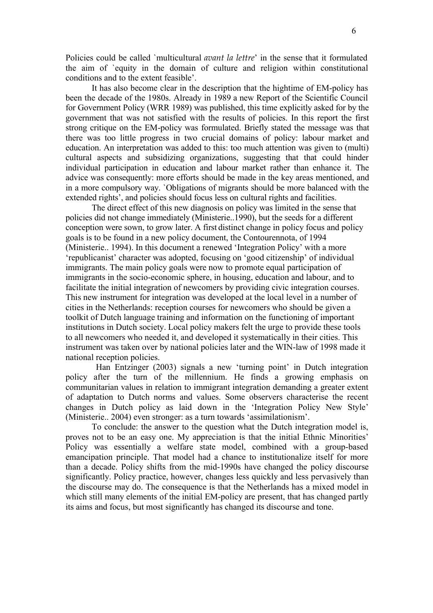Policies could be called `multicultural *avant la lettre*' in the sense that it formulated the aim of `equity in the domain of culture and religion within constitutional conditions and to the extent feasible'.

It has also become clear in the description that the hightime of EM-policy has been the decade of the 1980s. Already in 1989 a new Report of the Scientific Council for Government Policy (WRR 1989) was published, this time explicitly asked for by the government that was not satisfied with the results of policies. In this report the first strong critique on the EM-policy was formulated. Briefly stated the message was that there was too little progress in two crucial domains of policy: labour market and education. An interpretation was added to this: too much attention was given to (multi) cultural aspects and subsidizing organizations, suggesting that that could hinder individual participation in education and labour market rather than enhance it. The advice was consequently: more efforts should be made in the key areas mentioned, and in a more compulsory way. `Obligations of migrants should be more balanced with the extended rights', and policies should focus less on cultural rights and facilities.

The direct effect of this new diagnosis on policy was limited in the sense that policies did not change immediately (Ministerie..1990), but the seeds for a different conception were sown, to grow later. A first distinct change in policy focus and policy goals is to be found in a new policy document, the Contourennota, of 1994 (Ministerie.. 1994). In this document a renewed 'Integration Policy' with a more 'republicanist' character was adopted, focusing on 'good citizenship' of individual immigrants. The main policy goals were now to promote equal participation of immigrants in the socio-economic sphere, in housing, education and labour, and to facilitate the initial integration of newcomers by providing civic integration courses. This new instrument for integration was developed at the local level in a number of cities in the Netherlands: reception courses for newcomers who should be given a toolkit of Dutch language training and information on the functioning of important institutions in Dutch society. Local policy makers felt the urge to provide these tools to all newcomers who needed it, and developed it systematically in their cities. This instrument was taken over by national policies later and the WIN-law of 1998 made it national reception policies.

Han Entzinger (2003) signals a new 'turning point' in Dutch integration policy after the turn of the millennium. He finds a growing emphasis on communitarian values in relation to immigrant integration demanding a greater extent of adaptation to Dutch norms and values. Some observers characterise the recent changes in Dutch policy as laid down in the 'Integration Policy New Style' (Ministerie.. 2004) even stronger: as a turn towards 'assimilationism'.

To conclude: the answer to the question what the Dutch integration model is, proves not to be an easy one. My appreciation is that the initial Ethnic Minorities' Policy was essentially a welfare state model, combined with a group-based emancipation principle. That model had a chance to institutionalize itself for more than a decade. Policy shifts from the mid-1990s have changed the policy discourse significantly. Policy practice, however, changes less quickly and less pervasively than the discourse may do. The consequence is that the Netherlands has a mixed model in which still many elements of the initial EM-policy are present, that has changed partly its aims and focus, but most significantly has changed its discourse and tone.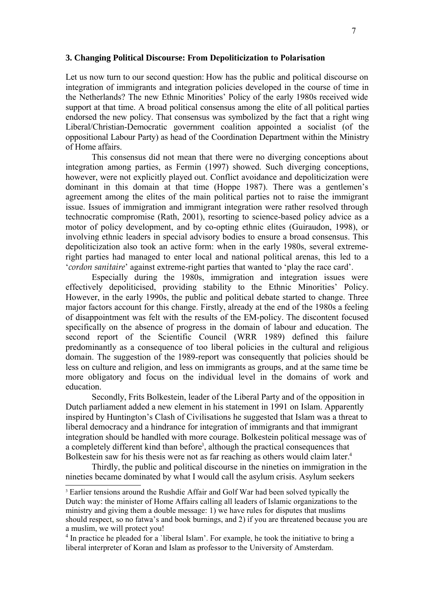#### **3. Changing Political Discourse: From Depoliticization to Polarisation**

Let us now turn to our second question: How has the public and political discourse on integration of immigrants and integration policies developed in the course of time in the Netherlands? The new Ethnic Minorities' Policy of the early 1980s received wide support at that time. A broad political consensus among the elite of all political parties endorsed the new policy. That consensus was symbolized by the fact that a right wing Liberal/Christian-Democratic government coalition appointed a socialist (of the oppositional Labour Party) as head of the Coordination Department within the Ministry of Home affairs.

This consensus did not mean that there were no diverging conceptions about integration among parties, as Fermin (1997) showed. Such diverging conceptions, however, were not explicitly played out. Conflict avoidance and depoliticization were dominant in this domain at that time (Hoppe 1987). There was a gentlemen's agreement among the elites of the main political parties not to raise the immigrant issue. Issues of immigration and immigrant integration were rather resolved through technocratic compromise (Rath, 2001), resorting to science-based policy advice as a motor of policy development, and by co-opting ethnic elites (Guiraudon, 1998), or involving ethnic leaders in special advisory bodies to ensure a broad consensus. This depoliticization also took an active form: when in the early 1980s, several extremeright parties had managed to enter local and national political arenas, this led to a '*cordon sanitaire*' against extreme-right parties that wanted to 'play the race card'.

Especially during the 1980s, immigration and integration issues were effectively depoliticised, providing stability to the Ethnic Minorities' Policy. However, in the early 1990s, the public and political debate started to change. Three major factors account for this change. Firstly, already at the end of the 1980s a feeling of disappointment was felt with the results of the EM-policy. The discontent focused specifically on the absence of progress in the domain of labour and education. The second report of the Scientific Council (WRR 1989) defined this failure predominantly as a consequence of too liberal policies in the cultural and religious domain. The suggestion of the 1989-report was consequently that policies should be less on culture and religion, and less on immigrants as groups, and at the same time be more obligatory and focus on the individual level in the domains of work and education.

Secondly, Frits Bolkestein, leader of the Liberal Party and of the opposition in Dutch parliament added a new element in his statement in 1991 on Islam. Apparently inspired by Huntington's Clash of Civilisations he suggested that Islam was a threat to liberal democracy and a hindrance for integration of immigrants and that immigrant integration should be handled with more courage. Bolkestein political message was of a completely different kind than before<sup>3</sup>, although the practical consequences that Bolkestein saw for his thesis were not as far reaching as others would claim later.<sup>4</sup>

Thirdly, the public and political discourse in the nineties on immigration in the nineties became dominated by what I would call the asylum crisis. Asylum seekers

<sup>&</sup>lt;sup>3</sup> Earlier tensions around the Rushdie Affair and Golf War had been solved typically the Dutch way: the minister of Home Affairs calling all leaders of Islamic organizations to the ministry and giving them a double message: 1) we have rules for disputes that muslims should respect, so no fatwa's and book burnings, and 2) if you are threatened because you are a muslim, we will protect you!

<sup>&</sup>lt;sup>4</sup> In practice he pleaded for a 'liberal Islam'. For example, he took the initiative to bring a liberal interpreter of Koran and Islam as professor to the University of Amsterdam.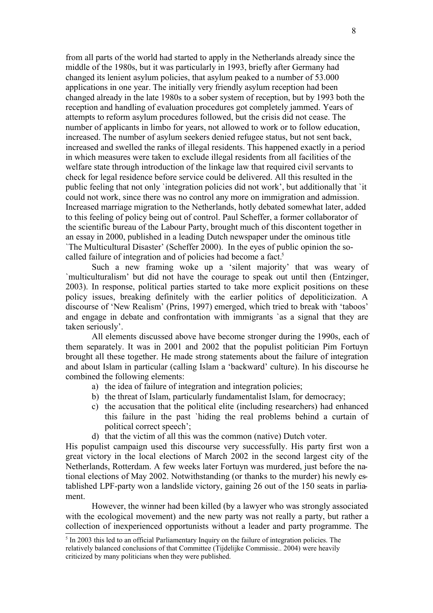from all parts of the world had started to apply in the Netherlands already since the middle of the 1980s, but it was particularly in 1993, briefly after Germany had changed its lenient asylum policies, that asylum peaked to a number of 53.000 applications in one year. The initially very friendly asylum reception had been changed already in the late 1980s to a sober system of reception, but by 1993 both the reception and handling of evaluation procedures got completely jammed. Years of attempts to reform asylum procedures followed, but the crisis did not cease. The number of applicants in limbo for years, not allowed to work or to follow education, increased. The number of asylum seekers denied refugee status, but not sent back, increased and swelled the ranks of illegal residents. This happened exactly in a period in which measures were taken to exclude illegal residents from all facilities of the welfare state through introduction of the linkage law that required civil servants to check for legal residence before service could be delivered. All this resulted in the public feeling that not only `integration policies did not work', but additionally that `it could not work, since there was no control any more on immigration and admission. Increased marriage migration to the Netherlands, hotly debated somewhat later, added to this feeling of policy being out of control. Paul Scheffer, a former collaborator of the scientific bureau of the Labour Party, brought much of this discontent together in an essay in 2000, published in a leading Dutch newspaper under the ominous title `The Multicultural Disaster' (Scheffer 2000). In the eyes of public opinion the socalled failure of integration and of policies had become a fact.<sup>5</sup>

Such a new framing woke up a 'silent majority' that was weary of `multiculturalism' but did not have the courage to speak out until then (Entzinger, 2003). In response, political parties started to take more explicit positions on these policy issues, breaking definitely with the earlier politics of depoliticization. A discourse of 'New Realism' (Prins, 1997) emerged, which tried to break with 'taboos' and engage in debate and confrontation with immigrants `as a signal that they are taken seriously'.

All elements discussed above have become stronger during the 1990s, each of them separately. It was in 2001 and 2002 that the populist politician Pim Fortuyn brought all these together. He made strong statements about the failure of integration and about Islam in particular (calling Islam a 'backward' culture). In his discourse he combined the following elements:

- a) the idea of failure of integration and integration policies;
- b) the threat of Islam, particularly fundamentalist Islam, for democracy;
- c) the accusation that the political elite (including researchers) had enhanced this failure in the past `hiding the real problems behind a curtain of political correct speech';
- d) that the victim of all this was the common (native) Dutch voter.

His populist campaign used this discourse very successfully. His party first won a great victory in the local elections of March 2002 in the second largest city of the Netherlands, Rotterdam. A few weeks later Fortuyn was murdered, just before the national elections of May 2002. Notwithstanding (or thanks to the murder) his newly established LPF-party won a landslide victory, gaining 26 out of the 150 seats in parliament.

However, the winner had been killed (by a lawyer who was strongly associated with the ecological movement) and the new party was not really a party, but rather a collection of inexperienced opportunists without a leader and party programme. The

 $<sup>5</sup>$  In 2003 this led to an official Parliamentary Inquiry on the failure of integration policies. The</sup> relatively balanced conclusions of that Committee (Tijdelijke Commissie.. 2004) were heavily criticized by many politicians when they were published.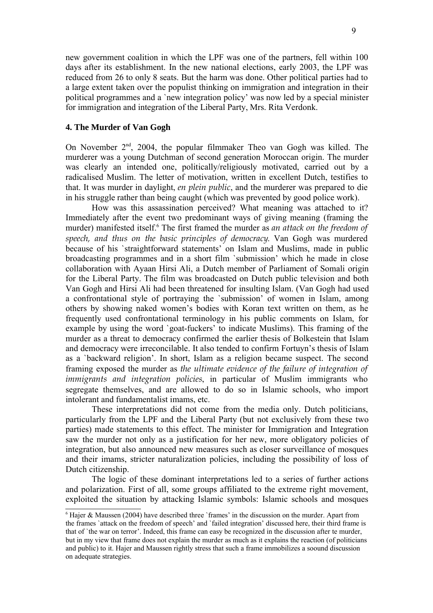new government coalition in which the LPF was one of the partners, fell within 100 days after its establishment. In the new national elections, early 2003, the LPF was reduced from 26 to only 8 seats. But the harm was done. Other political parties had to a large extent taken over the populist thinking on immigration and integration in their political programmes and a `new integration policy' was now led by a special minister for immigration and integration of the Liberal Party, Mrs. Rita Verdonk.

### **4. The Murder of Van Gogh**

On November 2<sup>nd</sup>, 2004, the popular filmmaker Theo van Gogh was killed. The murderer was a young Dutchman of second generation Moroccan origin. The murder was clearly an intended one, politically/religiously motivated, carried out by a radicalised Muslim. The letter of motivation, written in excellent Dutch, testifies to that. It was murder in daylight, *en plein public*, and the murderer was prepared to die in his struggle rather than being caught (which was prevented by good police work).

How was this assassination perceived? What meaning was attached to it? Immediately after the event two predominant ways of giving meaning (framing the murder) manifested itself.<sup>6</sup> The first framed the murder as *an attack on the freedom of speech, and thus on the basic principles of democracy*. Van Gogh was murdered because of his `straightforward statements' on Islam and Muslims, made in public broadcasting programmes and in a short film `submission' which he made in close collaboration with Ayaan Hirsi Ali, a Dutch member of Parliament of Somali origin for the Liberal Party. The film was broadcasted on Dutch public television and both Van Gogh and Hirsi Ali had been threatened for insulting Islam. (Van Gogh had used a confrontational style of portraying the `submission' of women in Islam, among others by showing naked women's bodies with Koran text written on them, as he frequently used confrontational terminology in his public comments on Islam, for example by using the word `goat-fuckers' to indicate Muslims). This framing of the murder as a threat to democracy confirmed the earlier thesis of Bolkestein that Islam and democracy were irreconcilable. It also tended to confirm Fortuyn's thesis of Islam as a `backward religion'. In short, Islam as a religion became suspect. The second framing exposed the murder as *the ultimate evidence of the failure of integration of immigrants and integration policies*, in particular of Muslim immigrants who segregate themselves, and are allowed to do so in Islamic schools, who import intolerant and fundamentalist imams, etc.

These interpretations did not come from the media only. Dutch politicians, particularly from the LPF and the Liberal Party (but not exclusively from these two parties) made statements to this effect. The minister for Immigration and Integration saw the murder not only as a justification for her new, more obligatory policies of integration, but also announced new measures such as closer surveillance of mosques and their imams, stricter naturalization policies, including the possibility of loss of Dutch citizenship.

The logic of these dominant interpretations led to a series of further actions and polarization. First of all, some groups affiliated to the extreme right movement, exploited the situation by attacking Islamic symbols: Islamic schools and mosques

 $6$  Hajer & Maussen (2004) have described three `frames' in the discussion on the murder. Apart from the frames `attack on the freedom of speech' and `failed integration' discussed here, their third frame is that of `the war on terror'. Indeed, this frame can easy be recognized in the discussion after te murder, but in my view that frame does not explain the murder as much as it explains the reaction (of politicians and public) to it. Hajer and Maussen rightly stress that such a frame immobilizes a soound discussion on adequate strategies.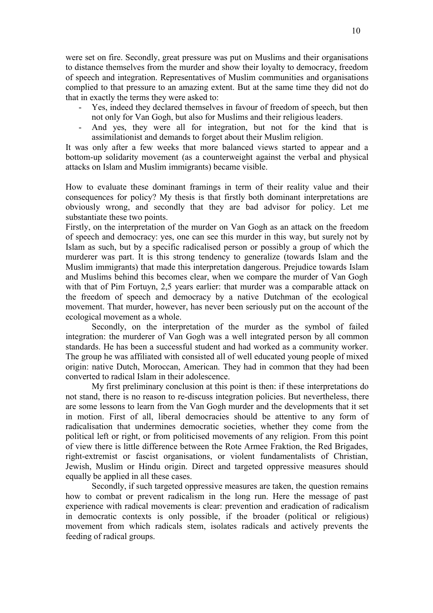were set on fire. Secondly, great pressure was put on Muslims and their organisations to distance themselves from the murder and show their loyalty to democracy, freedom of speech and integration. Representatives of Muslim communities and organisations complied to that pressure to an amazing extent. But at the same time they did not do that in exactly the terms they were asked to:

- Yes, indeed they declared themselves in favour of freedom of speech, but then not only for Van Gogh, but also for Muslims and their religious leaders.
- And yes, they were all for integration, but not for the kind that is assimilationist and demands to forget about their Muslim religion.

It was only after a few weeks that more balanced views started to appear and a bottom-up solidarity movement (as a counterweight against the verbal and physical attacks on Islam and Muslim immigrants) became visible.

How to evaluate these dominant framings in term of their reality value and their consequences for policy? My thesis is that firstly both dominant interpretations are obviously wrong, and secondly that they are bad advisor for policy. Let me substantiate these two points.

Firstly, on the interpretation of the murder on Van Gogh as an attack on the freedom of speech and democracy: yes, one can see this murder in this way, but surely not by Islam as such, but by a specific radicalised person or possibly a group of which the murderer was part. It is this strong tendency to generalize (towards Islam and the Muslim immigrants) that made this interpretation dangerous. Prejudice towards Islam and Muslims behind this becomes clear, when we compare the murder of Van Gogh with that of Pim Fortuyn, 2,5 years earlier: that murder was a comparable attack on the freedom of speech and democracy by a native Dutchman of the ecological movement. That murder, however, has never been seriously put on the account of the ecological movement as a whole.

Secondly, on the interpretation of the murder as the symbol of failed integration: the murderer of Van Gogh was a well integrated person by all common standards. He has been a successful student and had worked as a community worker. The group he was affiliated with consisted all of well educated young people of mixed origin: native Dutch, Moroccan, American. They had in common that they had been converted to radical Islam in their adolescence.

My first preliminary conclusion at this point is then: if these interpretations do not stand, there is no reason to re-discuss integration policies. But nevertheless, there are some lessons to learn from the Van Gogh murder and the developments that it set in motion. First of all, liberal democracies should be attentive to any form of radicalisation that undermines democratic societies, whether they come from the political left or right, or from politicised movements of any religion. From this point of view there is little difference between the Rote Armee Fraktion, the Red Brigades, right-extremist or fascist organisations, or violent fundamentalists of Christian, Jewish, Muslim or Hindu origin. Direct and targeted oppressive measures should equally be applied in all these cases.

Secondly, if such targeted oppressive measures are taken, the question remains how to combat or prevent radicalism in the long run. Here the message of past experience with radical movements is clear: prevention and eradication of radicalism in democratic contexts is only possible, if the broader (political or religious) movement from which radicals stem, isolates radicals and actively prevents the feeding of radical groups.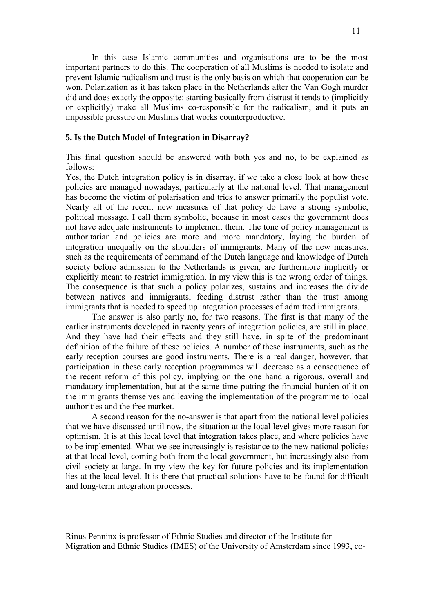In this case Islamic communities and organisations are to be the most important partners to do this. The cooperation of all Muslims is needed to isolate and prevent Islamic radicalism and trust is the only basis on which that cooperation can be won. Polarization as it has taken place in the Netherlands after the Van Gogh murder did and does exactly the opposite: starting basically from distrust it tends to (implicitly or explicitly) make all Muslims co-responsible for the radicalism, and it puts an impossible pressure on Muslims that works counterproductive.

### **5. Is the Dutch Model of Integration in Disarray?**

This final question should be answered with both yes and no, to be explained as follows:

Yes, the Dutch integration policy is in disarray, if we take a close look at how these policies are managed nowadays, particularly at the national level. That management has become the victim of polarisation and tries to answer primarily the populist vote. Nearly all of the recent new measures of that policy do have a strong symbolic, political message. I call them symbolic, because in most cases the government does not have adequate instruments to implement them. The tone of policy management is authoritarian and policies are more and more mandatory, laying the burden of integration unequally on the shoulders of immigrants. Many of the new measures, such as the requirements of command of the Dutch language and knowledge of Dutch society before admission to the Netherlands is given, are furthermore implicitly or explicitly meant to restrict immigration. In my view this is the wrong order of things. The consequence is that such a policy polarizes, sustains and increases the divide between natives and immigrants, feeding distrust rather than the trust among immigrants that is needed to speed up integration processes of admitted immigrants.

The answer is also partly no, for two reasons. The first is that many of the earlier instruments developed in twenty years of integration policies, are still in place. And they have had their effects and they still have, in spite of the predominant definition of the failure of these policies. A number of these instruments, such as the early reception courses are good instruments. There is a real danger, however, that participation in these early reception programmes will decrease as a consequence of the recent reform of this policy, implying on the one hand a rigorous, overall and mandatory implementation, but at the same time putting the financial burden of it on the immigrants themselves and leaving the implementation of the programme to local authorities and the free market.

A second reason for the no-answer is that apart from the national level policies that we have discussed until now, the situation at the local level gives more reason for optimism. It is at this local level that integration takes place, and where policies have to be implemented. What we see increasingly is resistance to the new national policies at that local level, coming both from the local government, but increasingly also from civil society at large. In my view the key for future policies and its implementation lies at the local level. It is there that practical solutions have to be found for difficult and long-term integration processes.

Rinus Penninx is professor of Ethnic Studies and director of the Institute for Migration and Ethnic Studies (IMES) of the University of Amsterdam since 1993, co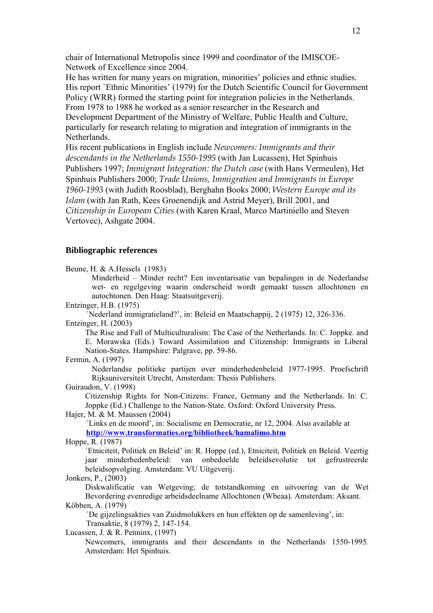chair of International Metropolis since 1999 and coordinator of the IMISCOE-Network of Excellence since 2004.

He has written for many years on migration, minorities' policies and ethnic studies. His report `Ethnic Minorities' (1979) for the Dutch Scientific Council for Government Policy (WRR) formed the starting point for integration policies in the Netherlands. From 1978 to 1988 he worked as a senior researcher in the Research and Development Department of the Ministry of Welfare, Public Health and Culture, particularly for research relating to migration and integration of immigrants in the Netherlands.

His recent publications in English include *Newcomers: Immigrants and their descendants in the Netherlands 1550-1995* (with Jan Lucassen), Het Spinhuis Publishers 1997; *Immigrant Integration: the Dutch case* (with Hans Vermeulen), Het Spinhuis Publishers 2000; *Trade Unions, Immigration and Immigrants in Europe 1960-1993* (with Judith Roosblad), Berghahn Books 2000; *Western Europe and its Islam* (with Jan Rath, Kees Groenendijk and Astrid Meyer), Brill 2001, and *Citizenship in European Cities* (with Karen Kraal, Marco Martiniello and Steven Vertovec), Ashgate 2004.

### **Bibliographic references**

Beune, H. & A.Hessels (1983)

Minderheid – Minder recht? Een inventarisatie van bepalingen in de Nederlandse wet- en regelgeving waarin onderscheid wordt gemaakt tussen allochtonen en autochtonen. Den Haag: Staatsuitgeverij.

Entzinger, H.B. (1975)

`Nederland immigratieland?', in: Beleid en Maatschappij, 2 (1975) 12, 326-336. Entzinger, H. (2003)

The Rise and Fall of Multiculturalism: The Case of the Netherlands. In: C. Joppke. and E. Morawska (Eds.) Toward Assimilation and Citizenship: Immigrants in Liberal Nation-States. Hampshire: Palgrave, pp. 59-86.

Fermin, A. (1997)

Nederlandse politieke partijen over minderhedenbeleid 1977-1995. Proefschrift Rijksuniversiteit Utrecht, Amsterdam: Thesis Publishers.

Guiraudon, V. (1998)

Citizenship Rights for Non-Citizens: France, Germany and the Netherlands. In: C. Joppke (Ed.) Challenge to the Nation-State. Oxford: Oxford University Press.

Hajer, M. & M. Maussen (2004)

`Links en de moord', in: Socialisme en Democratie, nr 12, 2004. Also available at **http://www.transformaties.org/bibliotheek/hamalimo.htm**

Hoppe, R. (1987)

`Etniciteit, Politiek en Beleid' in: R. Hoppe (ed.), Etniciteit, Politiek en Beleid. Veertig jaar minderhedenbeleid: van onbedoelde beleidsevolutie tot gefrustreerde beleidsopvolging. Amsterdam: VU Uitgeverij.

Jonkers, P., (2003)

Diskwalificatie van Wetgeving; de totstandkoming en uitvoering van de Wet Bevordering evenredige arbeidsdeelname Allochtonen (Wbeaa). Amsterdam: Aksant. Köbben, A. (1979)

`De gijzelingsakties van Zuidmolukkers en hun effekten op de samenleving', in: Transaktie, 8 (1979) 2, 147-154.

Lucassen, J. & R. Penninx, (1997)

Newcomers, immigrants and their descendants in the Netherlands 1550-1995. Amsterdam: Het Spinhuis.